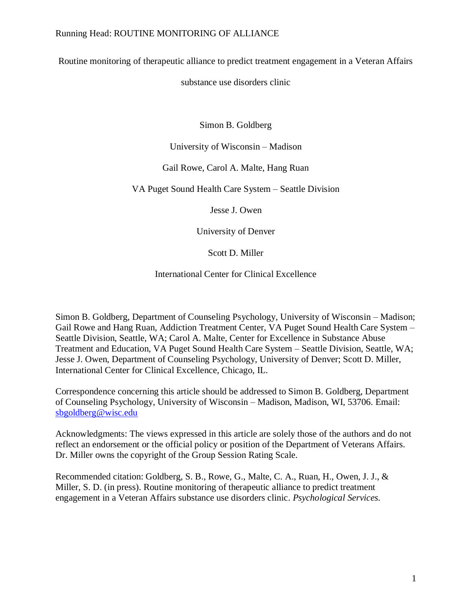Routine monitoring of therapeutic alliance to predict treatment engagement in a Veteran Affairs

substance use disorders clinic

Simon B. Goldberg

University of Wisconsin – Madison

## Gail Rowe, Carol A. Malte, Hang Ruan

VA Puget Sound Health Care System – Seattle Division

Jesse J. Owen

University of Denver

Scott D. Miller

International Center for Clinical Excellence

Simon B. Goldberg, Department of Counseling Psychology, University of Wisconsin – Madison; Gail Rowe and Hang Ruan, Addiction Treatment Center, VA Puget Sound Health Care System – Seattle Division, Seattle, WA; Carol A. Malte, Center for Excellence in Substance Abuse Treatment and Education, VA Puget Sound Health Care System – Seattle Division, Seattle, WA; Jesse J. Owen, Department of Counseling Psychology, University of Denver; Scott D. Miller, International Center for Clinical Excellence, Chicago, IL.

Correspondence concerning this article should be addressed to Simon B. Goldberg, Department of Counseling Psychology, University of Wisconsin – Madison, Madison, WI, 53706. Email: [sbgoldberg@wisc.edu](mailto:sbgoldberg@wisc.edu)

Acknowledgments: The views expressed in this article are solely those of the authors and do not reflect an endorsement or the official policy or position of the Department of Veterans Affairs. Dr. Miller owns the copyright of the Group Session Rating Scale.

Recommended citation: Goldberg, S. B., Rowe, G., Malte, C. A., Ruan, H., Owen, J. J., & Miller, S. D. (in press). Routine monitoring of therapeutic alliance to predict treatment engagement in a Veteran Affairs substance use disorders clinic. *Psychological Services.*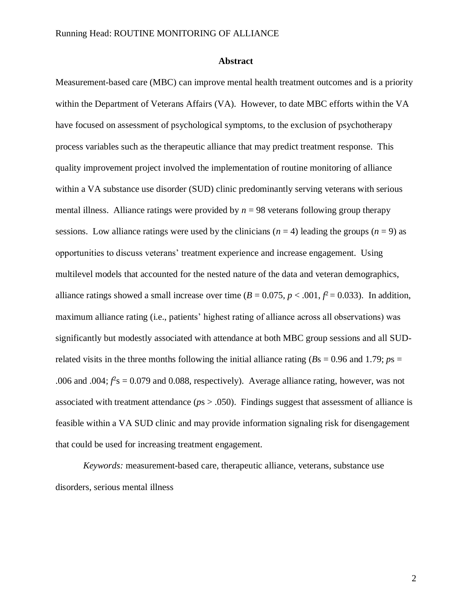### **Abstract**

Measurement-based care (MBC) can improve mental health treatment outcomes and is a priority within the Department of Veterans Affairs (VA). However, to date MBC efforts within the VA have focused on assessment of psychological symptoms, to the exclusion of psychotherapy process variables such as the therapeutic alliance that may predict treatment response. This quality improvement project involved the implementation of routine monitoring of alliance within a VA substance use disorder (SUD) clinic predominantly serving veterans with serious mental illness. Alliance ratings were provided by  $n = 98$  veterans following group therapy sessions. Low alliance ratings were used by the clinicians  $(n = 4)$  leading the groups  $(n = 9)$  as opportunities to discuss veterans' treatment experience and increase engagement. Using multilevel models that accounted for the nested nature of the data and veteran demographics, alliance ratings showed a small increase over time  $(B = 0.075, p < .001, f^2 = 0.033)$ . In addition, maximum alliance rating (i.e., patients' highest rating of alliance across all observations) was significantly but modestly associated with attendance at both MBC group sessions and all SUDrelated visits in the three months following the initial alliance rating ( $Bs = 0.96$  and 1.79;  $ps =$ .006 and .004;  $f^2$ s = 0.079 and 0.088, respectively). Average alliance rating, however, was not associated with treatment attendance (*p*s > .050). Findings suggest that assessment of alliance is feasible within a VA SUD clinic and may provide information signaling risk for disengagement that could be used for increasing treatment engagement.

*Keywords:* measurement-based care, therapeutic alliance, veterans, substance use disorders, serious mental illness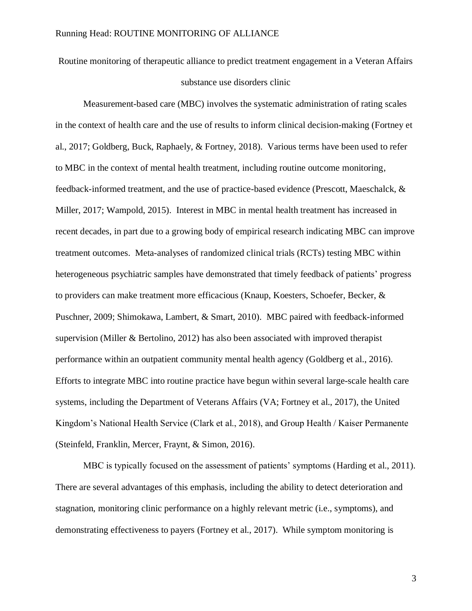Routine monitoring of therapeutic alliance to predict treatment engagement in a Veteran Affairs substance use disorders clinic

Measurement-based care (MBC) involves the systematic administration of rating scales in the context of health care and the use of results to inform clinical decision-making (Fortney et al., 2017; Goldberg, Buck, Raphaely, & Fortney, 2018). Various terms have been used to refer to MBC in the context of mental health treatment, including routine outcome monitoring, feedback-informed treatment, and the use of practice-based evidence (Prescott, Maeschalck, & Miller, 2017; Wampold, 2015). Interest in MBC in mental health treatment has increased in recent decades, in part due to a growing body of empirical research indicating MBC can improve treatment outcomes. Meta-analyses of randomized clinical trials (RCTs) testing MBC within heterogeneous psychiatric samples have demonstrated that timely feedback of patients' progress to providers can make treatment more efficacious (Knaup, Koesters, Schoefer, Becker, & Puschner, 2009; Shimokawa, Lambert, & Smart, 2010). MBC paired with feedback-informed supervision (Miller & Bertolino, 2012) has also been associated with improved therapist performance within an outpatient community mental health agency (Goldberg et al., 2016). Efforts to integrate MBC into routine practice have begun within several large-scale health care systems, including the Department of Veterans Affairs (VA; Fortney et al., 2017), the United Kingdom's National Health Service (Clark et al., 2018), and Group Health / Kaiser Permanente (Steinfeld, Franklin, Mercer, Fraynt, & Simon, 2016).

MBC is typically focused on the assessment of patients' symptoms (Harding et al., 2011). There are several advantages of this emphasis, including the ability to detect deterioration and stagnation, monitoring clinic performance on a highly relevant metric (i.e., symptoms), and demonstrating effectiveness to payers (Fortney et al., 2017). While symptom monitoring is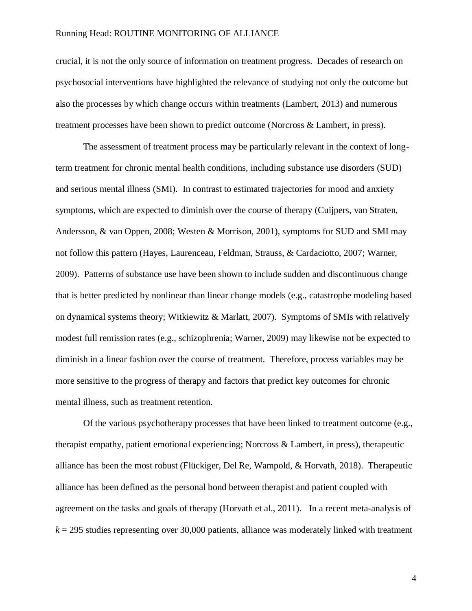crucial, it is not the only source of information on treatment progress. Decades of research on psychosocial interventions have highlighted the relevance of studying not only the outcome but also the processes by which change occurs within treatments (Lambert, 2013) and numerous treatment processes have been shown to predict outcome (Norcross & Lambert, in press).

The assessment of treatment process may be particularly relevant in the context of longterm treatment for chronic mental health conditions, including substance use disorders (SUD) and serious mental illness (SMI). In contrast to estimated trajectories for mood and anxiety symptoms, which are expected to diminish over the course of therapy (Cuijpers, van Straten, Andersson, & van Oppen, 2008; Westen & Morrison, 2001), symptoms for SUD and SMI may not follow this pattern (Hayes, Laurenceau, Feldman, Strauss, & Cardaciotto, 2007; Warner, 2009). Patterns of substance use have been shown to include sudden and discontinuous change that is better predicted by nonlinear than linear change models (e.g., catastrophe modeling based on dynamical systems theory; Witkiewitz & Marlatt, 2007). Symptoms of SMIs with relatively modest full remission rates (e.g., schizophrenia; Warner, 2009) may likewise not be expected to diminish in a linear fashion over the course of treatment. Therefore, process variables may be more sensitive to the progress of therapy and factors that predict key outcomes for chronic mental illness, such as treatment retention.

Of the various psychotherapy processes that have been linked to treatment outcome (e.g., therapist empathy, patient emotional experiencing; Norcross & Lambert, in press), therapeutic alliance has been the most robust (Flückiger, Del Re, Wampold, & Horvath, 2018). Therapeutic alliance has been defined as the personal bond between therapist and patient coupled with agreement on the tasks and goals of therapy (Horvath et al., 2011). In a recent meta-analysis of  $k = 295$  studies representing over 30,000 patients, alliance was moderately linked with treatment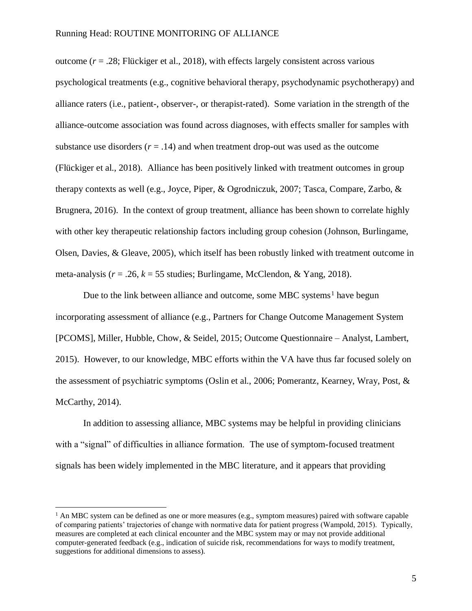outcome  $(r = .28;$  Flückiger et al., 2018), with effects largely consistent across various psychological treatments (e.g., cognitive behavioral therapy, psychodynamic psychotherapy) and alliance raters (i.e., patient-, observer-, or therapist-rated). Some variation in the strength of the alliance-outcome association was found across diagnoses, with effects smaller for samples with substance use disorders  $(r = .14)$  and when treatment drop-out was used as the outcome (Flückiger et al., 2018). Alliance has been positively linked with treatment outcomes in group therapy contexts as well (e.g., Joyce, Piper, & Ogrodniczuk, 2007; Tasca, Compare, Zarbo, & Brugnera, 2016). In the context of group treatment, alliance has been shown to correlate highly with other key therapeutic relationship factors including group cohesion (Johnson, Burlingame, Olsen, Davies, & Gleave, 2005), which itself has been robustly linked with treatment outcome in meta-analysis  $(r = .26, k = 55$  studies; Burlingame, McClendon, & Yang, 2018).

Due to the link between alliance and outcome, some MBC systems<sup>1</sup> have begun incorporating assessment of alliance (e.g., Partners for Change Outcome Management System [PCOMS], Miller, Hubble, Chow, & Seidel, 2015; Outcome Questionnaire – Analyst, Lambert, 2015). However, to our knowledge, MBC efforts within the VA have thus far focused solely on the assessment of psychiatric symptoms (Oslin et al., 2006; Pomerantz, Kearney, Wray, Post, & McCarthy, 2014).

In addition to assessing alliance, MBC systems may be helpful in providing clinicians with a "signal" of difficulties in alliance formation. The use of symptom-focused treatment signals has been widely implemented in the MBC literature, and it appears that providing

 $\overline{a}$ 

 $<sup>1</sup>$  An MBC system can be defined as one or more measures (e.g., symptom measures) paired with software capable</sup> of comparing patients' trajectories of change with normative data for patient progress (Wampold, 2015). Typically, measures are completed at each clinical encounter and the MBC system may or may not provide additional computer-generated feedback (e.g., indication of suicide risk, recommendations for ways to modify treatment, suggestions for additional dimensions to assess).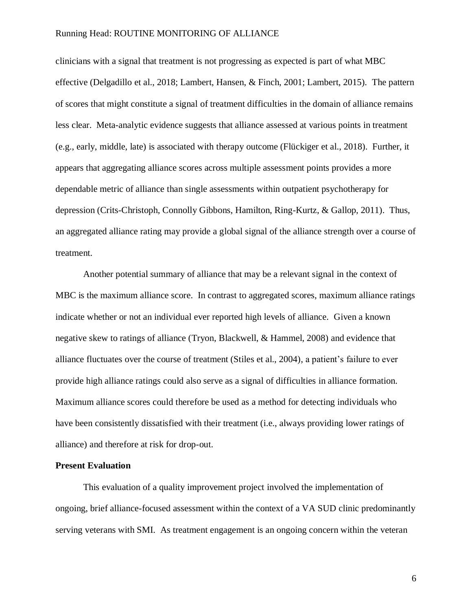clinicians with a signal that treatment is not progressing as expected is part of what MBC effective (Delgadillo et al., 2018; Lambert, Hansen, & Finch, 2001; Lambert, 2015). The pattern of scores that might constitute a signal of treatment difficulties in the domain of alliance remains less clear. Meta-analytic evidence suggests that alliance assessed at various points in treatment (e.g., early, middle, late) is associated with therapy outcome (Flückiger et al., 2018). Further, it appears that aggregating alliance scores across multiple assessment points provides a more dependable metric of alliance than single assessments within outpatient psychotherapy for depression (Crits-Christoph, Connolly Gibbons, Hamilton, Ring-Kurtz, & Gallop, 2011). Thus, an aggregated alliance rating may provide a global signal of the alliance strength over a course of treatment.

Another potential summary of alliance that may be a relevant signal in the context of MBC is the maximum alliance score. In contrast to aggregated scores, maximum alliance ratings indicate whether or not an individual ever reported high levels of alliance. Given a known negative skew to ratings of alliance (Tryon, Blackwell, & Hammel, 2008) and evidence that alliance fluctuates over the course of treatment (Stiles et al., 2004), a patient's failure to ever provide high alliance ratings could also serve as a signal of difficulties in alliance formation. Maximum alliance scores could therefore be used as a method for detecting individuals who have been consistently dissatisfied with their treatment (i.e., always providing lower ratings of alliance) and therefore at risk for drop-out.

### **Present Evaluation**

This evaluation of a quality improvement project involved the implementation of ongoing, brief alliance-focused assessment within the context of a VA SUD clinic predominantly serving veterans with SMI. As treatment engagement is an ongoing concern within the veteran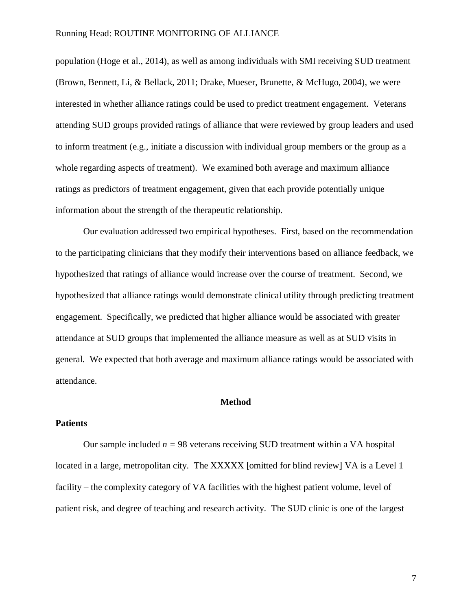population (Hoge et al., 2014), as well as among individuals with SMI receiving SUD treatment (Brown, Bennett, Li, & Bellack, 2011; Drake, Mueser, Brunette, & McHugo, 2004), we were interested in whether alliance ratings could be used to predict treatment engagement. Veterans attending SUD groups provided ratings of alliance that were reviewed by group leaders and used to inform treatment (e.g., initiate a discussion with individual group members or the group as a whole regarding aspects of treatment). We examined both average and maximum alliance ratings as predictors of treatment engagement, given that each provide potentially unique information about the strength of the therapeutic relationship.

Our evaluation addressed two empirical hypotheses. First, based on the recommendation to the participating clinicians that they modify their interventions based on alliance feedback, we hypothesized that ratings of alliance would increase over the course of treatment. Second, we hypothesized that alliance ratings would demonstrate clinical utility through predicting treatment engagement. Specifically, we predicted that higher alliance would be associated with greater attendance at SUD groups that implemented the alliance measure as well as at SUD visits in general. We expected that both average and maximum alliance ratings would be associated with attendance.

### **Method**

### **Patients**

Our sample included  $n = 98$  veterans receiving SUD treatment within a VA hospital located in a large, metropolitan city. The XXXXX [omitted for blind review] VA is a Level 1 facility – the complexity category of VA facilities with the highest patient volume, level of patient risk, and degree of teaching and research activity. The SUD clinic is one of the largest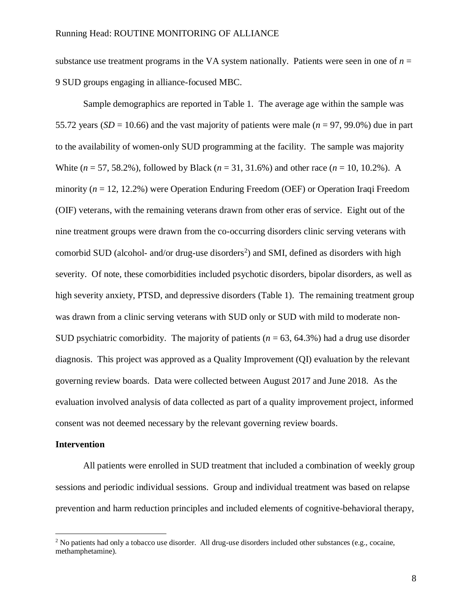substance use treatment programs in the VA system nationally. Patients were seen in one of  $n =$ 9 SUD groups engaging in alliance-focused MBC.

Sample demographics are reported in Table 1. The average age within the sample was 55.72 years ( $SD = 10.66$ ) and the vast majority of patients were male ( $n = 97, 99.0\%$ ) due in part to the availability of women-only SUD programming at the facility. The sample was majority White (*n* = 57, 58.2%), followed by Black (*n* = 31, 31.6%) and other race (*n* = 10, 10.2%). A minority (*n* = 12, 12.2%) were Operation Enduring Freedom (OEF) or Operation Iraqi Freedom (OIF) veterans, with the remaining veterans drawn from other eras of service. Eight out of the nine treatment groups were drawn from the co-occurring disorders clinic serving veterans with comorbid SUD (alcohol- and/or drug-use disorders<sup>2</sup>) and SMI, defined as disorders with high severity. Of note, these comorbidities included psychotic disorders, bipolar disorders, as well as high severity anxiety, PTSD, and depressive disorders (Table 1). The remaining treatment group was drawn from a clinic serving veterans with SUD only or SUD with mild to moderate non-SUD psychiatric comorbidity. The majority of patients (*n* = 63, 64.3%) had a drug use disorder diagnosis. This project was approved as a Quality Improvement (QI) evaluation by the relevant governing review boards. Data were collected between August 2017 and June 2018. As the evaluation involved analysis of data collected as part of a quality improvement project, informed consent was not deemed necessary by the relevant governing review boards.

### **Intervention**

 $\overline{a}$ 

All patients were enrolled in SUD treatment that included a combination of weekly group sessions and periodic individual sessions. Group and individual treatment was based on relapse prevention and harm reduction principles and included elements of cognitive-behavioral therapy,

<sup>&</sup>lt;sup>2</sup> No patients had only a tobacco use disorder. All drug-use disorders included other substances (e.g., cocaine, methamphetamine).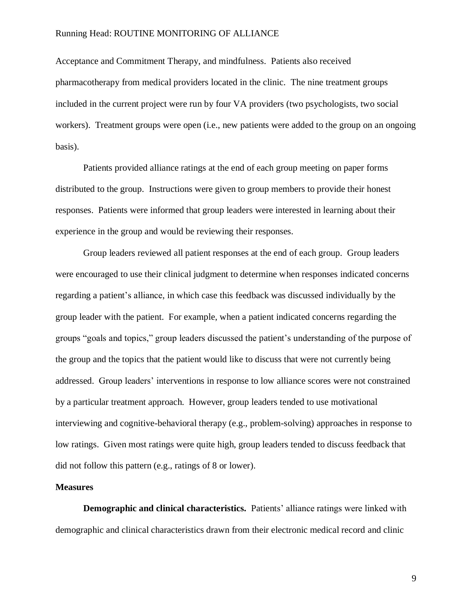Acceptance and Commitment Therapy, and mindfulness. Patients also received pharmacotherapy from medical providers located in the clinic. The nine treatment groups included in the current project were run by four VA providers (two psychologists, two social workers). Treatment groups were open (i.e., new patients were added to the group on an ongoing basis).

Patients provided alliance ratings at the end of each group meeting on paper forms distributed to the group. Instructions were given to group members to provide their honest responses. Patients were informed that group leaders were interested in learning about their experience in the group and would be reviewing their responses.

Group leaders reviewed all patient responses at the end of each group. Group leaders were encouraged to use their clinical judgment to determine when responses indicated concerns regarding a patient's alliance, in which case this feedback was discussed individually by the group leader with the patient. For example, when a patient indicated concerns regarding the groups "goals and topics," group leaders discussed the patient's understanding of the purpose of the group and the topics that the patient would like to discuss that were not currently being addressed. Group leaders' interventions in response to low alliance scores were not constrained by a particular treatment approach. However, group leaders tended to use motivational interviewing and cognitive-behavioral therapy (e.g., problem-solving) approaches in response to low ratings. Given most ratings were quite high, group leaders tended to discuss feedback that did not follow this pattern (e.g., ratings of 8 or lower).

#### **Measures**

**Demographic and clinical characteristics.** Patients' alliance ratings were linked with demographic and clinical characteristics drawn from their electronic medical record and clinic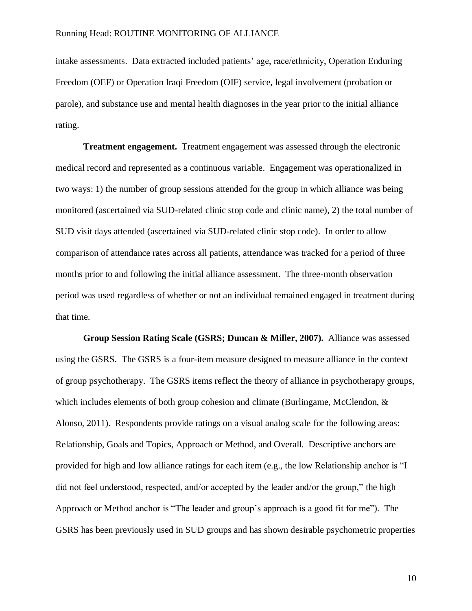intake assessments. Data extracted included patients' age, race/ethnicity, Operation Enduring Freedom (OEF) or Operation Iraqi Freedom (OIF) service, legal involvement (probation or parole), and substance use and mental health diagnoses in the year prior to the initial alliance rating.

**Treatment engagement.** Treatment engagement was assessed through the electronic medical record and represented as a continuous variable. Engagement was operationalized in two ways: 1) the number of group sessions attended for the group in which alliance was being monitored (ascertained via SUD-related clinic stop code and clinic name), 2) the total number of SUD visit days attended (ascertained via SUD-related clinic stop code). In order to allow comparison of attendance rates across all patients, attendance was tracked for a period of three months prior to and following the initial alliance assessment. The three-month observation period was used regardless of whether or not an individual remained engaged in treatment during that time.

**Group Session Rating Scale (GSRS; Duncan & Miller, 2007).** Alliance was assessed using the GSRS. The GSRS is a four-item measure designed to measure alliance in the context of group psychotherapy. The GSRS items reflect the theory of alliance in psychotherapy groups, which includes elements of both group cohesion and climate (Burlingame, McClendon, & Alonso, 2011). Respondents provide ratings on a visual analog scale for the following areas: Relationship, Goals and Topics, Approach or Method, and Overall. Descriptive anchors are provided for high and low alliance ratings for each item (e.g., the low Relationship anchor is "I did not feel understood, respected, and/or accepted by the leader and/or the group," the high Approach or Method anchor is "The leader and group's approach is a good fit for me"). The GSRS has been previously used in SUD groups and has shown desirable psychometric properties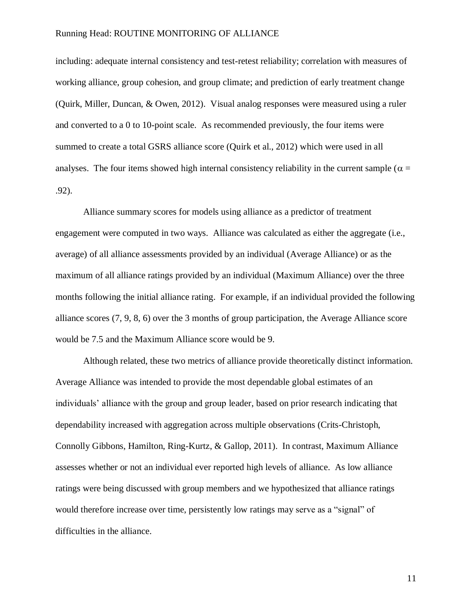including: adequate internal consistency and test-retest reliability; correlation with measures of working alliance, group cohesion, and group climate; and prediction of early treatment change (Quirk, Miller, Duncan, & Owen, 2012). Visual analog responses were measured using a ruler and converted to a 0 to 10-point scale. As recommended previously, the four items were summed to create a total GSRS alliance score (Quirk et al., 2012) which were used in all analyses. The four items showed high internal consistency reliability in the current sample ( $\alpha$  = .92).

Alliance summary scores for models using alliance as a predictor of treatment engagement were computed in two ways. Alliance was calculated as either the aggregate (i.e., average) of all alliance assessments provided by an individual (Average Alliance) or as the maximum of all alliance ratings provided by an individual (Maximum Alliance) over the three months following the initial alliance rating. For example, if an individual provided the following alliance scores (7, 9, 8, 6) over the 3 months of group participation, the Average Alliance score would be 7.5 and the Maximum Alliance score would be 9.

Although related, these two metrics of alliance provide theoretically distinct information. Average Alliance was intended to provide the most dependable global estimates of an individuals' alliance with the group and group leader, based on prior research indicating that dependability increased with aggregation across multiple observations (Crits-Christoph, Connolly Gibbons, Hamilton, Ring-Kurtz, & Gallop, 2011). In contrast, Maximum Alliance assesses whether or not an individual ever reported high levels of alliance. As low alliance ratings were being discussed with group members and we hypothesized that alliance ratings would therefore increase over time, persistently low ratings may serve as a "signal" of difficulties in the alliance.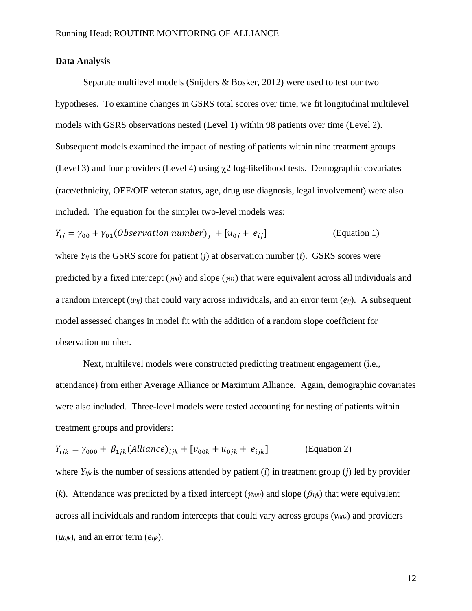## **Data Analysis**

Separate multilevel models (Snijders & Bosker, 2012) were used to test our two hypotheses. To examine changes in GSRS total scores over time, we fit longitudinal multilevel models with GSRS observations nested (Level 1) within 98 patients over time (Level 2). Subsequent models examined the impact of nesting of patients within nine treatment groups (Level 3) and four providers (Level 4) using  $\chi$ 2 log-likelihood tests. Demographic covariates (race/ethnicity, OEF/OIF veteran status, age, drug use diagnosis, legal involvement) were also included. The equation for the simpler two-level models was:

 $Y_{ii} = \gamma_{00} + \gamma_{01}$ (Observation number)<sub>i</sub> + [ $u_{0i}$  +  $e_{ii}$ ] (Equation 1) where  $Y_{ij}$  is the GSRS score for patient (*j*) at observation number (*i*). GSRS scores were predicted by a fixed intercept ( $\gamma_{00}$ ) and slope ( $\gamma_{01}$ ) that were equivalent across all individuals and a random intercept (*u0j*) that could vary across individuals, and an error term (*eij*). A subsequent model assessed changes in model fit with the addition of a random slope coefficient for observation number.

Next, multilevel models were constructed predicting treatment engagement (i.e., attendance) from either Average Alliance or Maximum Alliance. Again, demographic covariates were also included. Three-level models were tested accounting for nesting of patients within treatment groups and providers:

$$
Y_{ijk} = \gamma_{000} + \beta_{1jk} (Alliance)_{ijk} + [v_{00k} + u_{0jk} + e_{ijk}]
$$
 (Equation 2)

where  $Y_{ijk}$  is the number of sessions attended by patient (*i*) in treatment group (*j*) led by provider (*k*). Attendance was predicted by a fixed intercept ( $\gamma_{000}$ ) and slope ( $\beta_{ijk}$ ) that were equivalent across all individuals and random intercepts that could vary across groups (*v00k*) and providers (*u0jk*), and an error term (*eijk*).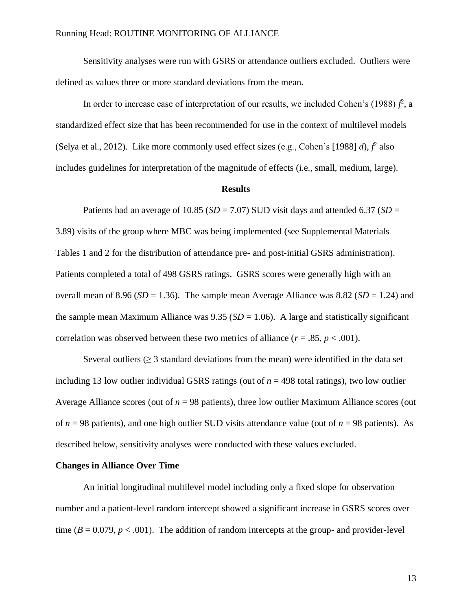Sensitivity analyses were run with GSRS or attendance outliers excluded. Outliers were defined as values three or more standard deviations from the mean.

In order to increase ease of interpretation of our results, we included Cohen's  $(1988) f<sup>2</sup>$ , a standardized effect size that has been recommended for use in the context of multilevel models (Selya et al., 2012). Like more commonly used effect sizes (e.g., Cohen's [1988]  $d$ ),  $f^2$  also includes guidelines for interpretation of the magnitude of effects (i.e., small, medium, large).

### **Results**

Patients had an average of 10.85 ( $SD = 7.07$ ) SUD visit days and attended 6.37 ( $SD =$ 3.89) visits of the group where MBC was being implemented (see Supplemental Materials Tables 1 and 2 for the distribution of attendance pre- and post-initial GSRS administration). Patients completed a total of 498 GSRS ratings. GSRS scores were generally high with an overall mean of 8.96 ( $SD = 1.36$ ). The sample mean Average Alliance was 8.82 ( $SD = 1.24$ ) and the sample mean Maximum Alliance was  $9.35$  ( $SD = 1.06$ ). A large and statistically significant correlation was observed between these two metrics of alliance  $(r = .85, p < .001)$ .

Several outliers ( $\geq$  3 standard deviations from the mean) were identified in the data set including 13 low outlier individual GSRS ratings (out of  $n = 498$  total ratings), two low outlier Average Alliance scores (out of  $n = 98$  patients), three low outlier Maximum Alliance scores (out of *n* = 98 patients), and one high outlier SUD visits attendance value (out of *n* = 98 patients). As described below, sensitivity analyses were conducted with these values excluded.

### **Changes in Alliance Over Time**

An initial longitudinal multilevel model including only a fixed slope for observation number and a patient-level random intercept showed a significant increase in GSRS scores over time  $(B = 0.079, p < .001)$ . The addition of random intercepts at the group- and provider-level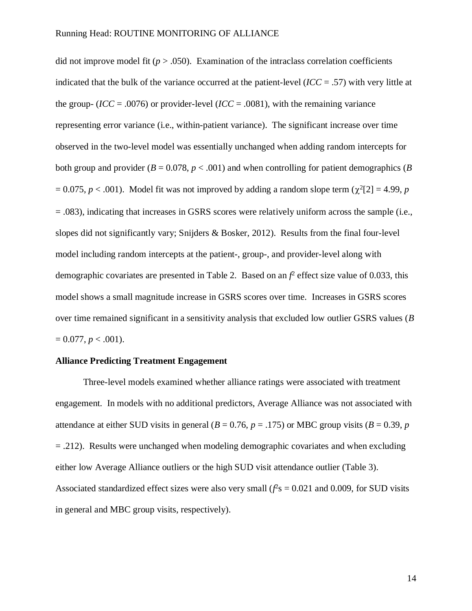did not improve model fit  $(p > .050)$ . Examination of the intraclass correlation coefficients indicated that the bulk of the variance occurred at the patient-level (*ICC* = .57) with very little at the group- ( $\text{ICC} = .0076$ ) or provider-level ( $\text{ICC} = .0081$ ), with the remaining variance representing error variance (i.e., within-patient variance). The significant increase over time observed in the two-level model was essentially unchanged when adding random intercepts for both group and provider  $(B = 0.078, p < .001)$  and when controlling for patient demographics  $(B \cap B)$  $= 0.075, p < .001$ ). Model fit was not improved by adding a random slope term ( $\chi^2[2] = 4.99, p$ = .083), indicating that increases in GSRS scores were relatively uniform across the sample (i.e., slopes did not significantly vary; Snijders & Bosker, 2012). Results from the final four-level model including random intercepts at the patient-, group-, and provider-level along with demographic covariates are presented in Table 2. Based on an  $f^2$  effect size value of 0.033, this model shows a small magnitude increase in GSRS scores over time. Increases in GSRS scores over time remained significant in a sensitivity analysis that excluded low outlier GSRS values (*B*   $= 0.077, p < .001$ ).

### **Alliance Predicting Treatment Engagement**

Three-level models examined whether alliance ratings were associated with treatment engagement. In models with no additional predictors, Average Alliance was not associated with attendance at either SUD visits in general ( $B = 0.76$ ,  $p = .175$ ) or MBC group visits ( $B = 0.39$ ,  $p = .175$ )  $= .212$ ). Results were unchanged when modeling demographic covariates and when excluding either low Average Alliance outliers or the high SUD visit attendance outlier (Table 3). Associated standardized effect sizes were also very small  $(f^2s = 0.021$  and 0.009, for SUD visits in general and MBC group visits, respectively).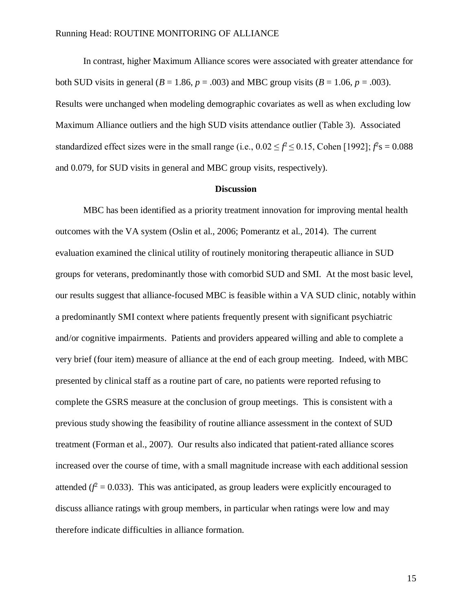In contrast, higher Maximum Alliance scores were associated with greater attendance for both SUD visits in general ( $B = 1.86$ ,  $p = .003$ ) and MBC group visits ( $B = 1.06$ ,  $p = .003$ ). Results were unchanged when modeling demographic covariates as well as when excluding low Maximum Alliance outliers and the high SUD visits attendance outlier (Table 3). Associated standardized effect sizes were in the small range (i.e.,  $0.02 \le f^2 \le 0.15$ , Cohen [1992];  $f^2$ s = 0.088 and 0.079, for SUD visits in general and MBC group visits, respectively).

### **Discussion**

MBC has been identified as a priority treatment innovation for improving mental health outcomes with the VA system (Oslin et al., 2006; Pomerantz et al., 2014). The current evaluation examined the clinical utility of routinely monitoring therapeutic alliance in SUD groups for veterans, predominantly those with comorbid SUD and SMI. At the most basic level, our results suggest that alliance-focused MBC is feasible within a VA SUD clinic, notably within a predominantly SMI context where patients frequently present with significant psychiatric and/or cognitive impairments. Patients and providers appeared willing and able to complete a very brief (four item) measure of alliance at the end of each group meeting. Indeed, with MBC presented by clinical staff as a routine part of care, no patients were reported refusing to complete the GSRS measure at the conclusion of group meetings. This is consistent with a previous study showing the feasibility of routine alliance assessment in the context of SUD treatment (Forman et al., 2007). Our results also indicated that patient-rated alliance scores increased over the course of time, with a small magnitude increase with each additional session attended  $(f^2 = 0.033)$ . This was anticipated, as group leaders were explicitly encouraged to discuss alliance ratings with group members, in particular when ratings were low and may therefore indicate difficulties in alliance formation.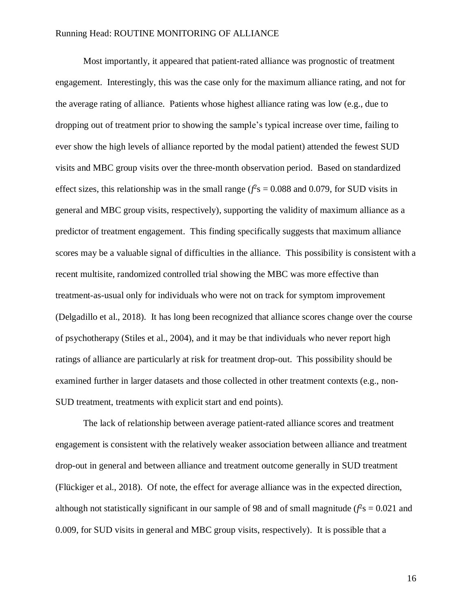Most importantly, it appeared that patient-rated alliance was prognostic of treatment engagement. Interestingly, this was the case only for the maximum alliance rating, and not for the average rating of alliance. Patients whose highest alliance rating was low (e.g., due to dropping out of treatment prior to showing the sample's typical increase over time, failing to ever show the high levels of alliance reported by the modal patient) attended the fewest SUD visits and MBC group visits over the three-month observation period. Based on standardized effect sizes, this relationship was in the small range ( $\mathcal{f}$ s = 0.088 and 0.079, for SUD visits in general and MBC group visits, respectively), supporting the validity of maximum alliance as a predictor of treatment engagement. This finding specifically suggests that maximum alliance scores may be a valuable signal of difficulties in the alliance. This possibility is consistent with a recent multisite, randomized controlled trial showing the MBC was more effective than treatment-as-usual only for individuals who were not on track for symptom improvement (Delgadillo et al., 2018). It has long been recognized that alliance scores change over the course of psychotherapy (Stiles et al., 2004), and it may be that individuals who never report high ratings of alliance are particularly at risk for treatment drop-out. This possibility should be examined further in larger datasets and those collected in other treatment contexts (e.g., non-SUD treatment, treatments with explicit start and end points).

The lack of relationship between average patient-rated alliance scores and treatment engagement is consistent with the relatively weaker association between alliance and treatment drop-out in general and between alliance and treatment outcome generally in SUD treatment (Flückiger et al., 2018). Of note, the effect for average alliance was in the expected direction, although not statistically significant in our sample of 98 and of small magnitude  $(f^2s = 0.021$  and 0.009, for SUD visits in general and MBC group visits, respectively). It is possible that a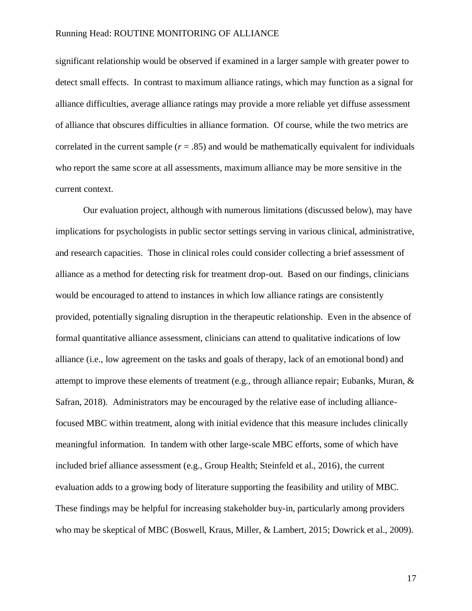significant relationship would be observed if examined in a larger sample with greater power to detect small effects. In contrast to maximum alliance ratings, which may function as a signal for alliance difficulties, average alliance ratings may provide a more reliable yet diffuse assessment of alliance that obscures difficulties in alliance formation. Of course, while the two metrics are correlated in the current sample  $(r = .85)$  and would be mathematically equivalent for individuals who report the same score at all assessments, maximum alliance may be more sensitive in the current context.

Our evaluation project, although with numerous limitations (discussed below), may have implications for psychologists in public sector settings serving in various clinical, administrative, and research capacities. Those in clinical roles could consider collecting a brief assessment of alliance as a method for detecting risk for treatment drop-out. Based on our findings, clinicians would be encouraged to attend to instances in which low alliance ratings are consistently provided, potentially signaling disruption in the therapeutic relationship. Even in the absence of formal quantitative alliance assessment, clinicians can attend to qualitative indications of low alliance (i.e., low agreement on the tasks and goals of therapy, lack of an emotional bond) and attempt to improve these elements of treatment (e.g., through alliance repair; Eubanks, Muran, & Safran, 2018). Administrators may be encouraged by the relative ease of including alliancefocused MBC within treatment, along with initial evidence that this measure includes clinically meaningful information. In tandem with other large-scale MBC efforts, some of which have included brief alliance assessment (e.g., Group Health; Steinfeld et al., 2016), the current evaluation adds to a growing body of literature supporting the feasibility and utility of MBC. These findings may be helpful for increasing stakeholder buy-in, particularly among providers who may be skeptical of MBC (Boswell, Kraus, Miller, & Lambert, 2015; Dowrick et al., 2009).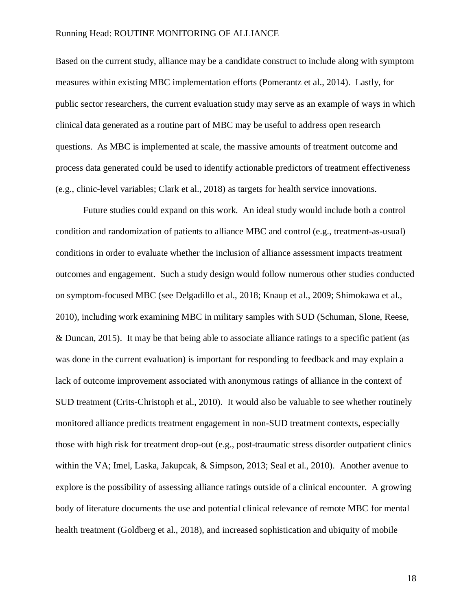Based on the current study, alliance may be a candidate construct to include along with symptom measures within existing MBC implementation efforts (Pomerantz et al., 2014). Lastly, for public sector researchers, the current evaluation study may serve as an example of ways in which clinical data generated as a routine part of MBC may be useful to address open research questions. As MBC is implemented at scale, the massive amounts of treatment outcome and process data generated could be used to identify actionable predictors of treatment effectiveness (e.g., clinic-level variables; Clark et al., 2018) as targets for health service innovations.

Future studies could expand on this work. An ideal study would include both a control condition and randomization of patients to alliance MBC and control (e.g., treatment-as-usual) conditions in order to evaluate whether the inclusion of alliance assessment impacts treatment outcomes and engagement. Such a study design would follow numerous other studies conducted on symptom-focused MBC (see Delgadillo et al., 2018; Knaup et al., 2009; Shimokawa et al., 2010), including work examining MBC in military samples with SUD (Schuman, Slone, Reese, & Duncan, 2015). It may be that being able to associate alliance ratings to a specific patient (as was done in the current evaluation) is important for responding to feedback and may explain a lack of outcome improvement associated with anonymous ratings of alliance in the context of SUD treatment (Crits-Christoph et al., 2010). It would also be valuable to see whether routinely monitored alliance predicts treatment engagement in non-SUD treatment contexts, especially those with high risk for treatment drop-out (e.g., post-traumatic stress disorder outpatient clinics within the VA; Imel, Laska, Jakupcak, & Simpson, 2013; Seal et al., 2010). Another avenue to explore is the possibility of assessing alliance ratings outside of a clinical encounter. A growing body of literature documents the use and potential clinical relevance of remote MBC for mental health treatment (Goldberg et al., 2018), and increased sophistication and ubiquity of mobile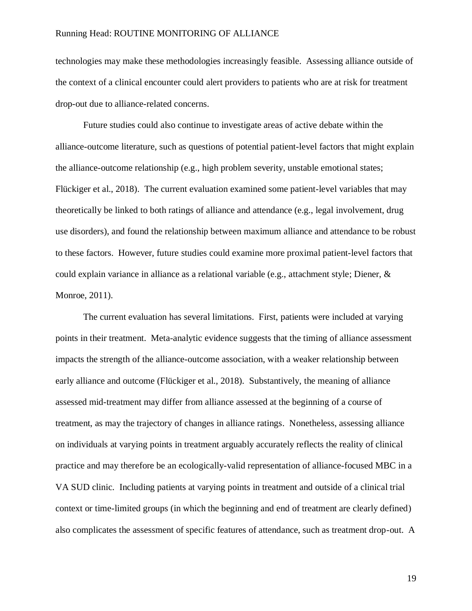technologies may make these methodologies increasingly feasible. Assessing alliance outside of the context of a clinical encounter could alert providers to patients who are at risk for treatment drop-out due to alliance-related concerns.

Future studies could also continue to investigate areas of active debate within the alliance-outcome literature, such as questions of potential patient-level factors that might explain the alliance-outcome relationship (e.g., high problem severity, unstable emotional states; Flückiger et al., 2018). The current evaluation examined some patient-level variables that may theoretically be linked to both ratings of alliance and attendance (e.g., legal involvement, drug use disorders), and found the relationship between maximum alliance and attendance to be robust to these factors. However, future studies could examine more proximal patient-level factors that could explain variance in alliance as a relational variable (e.g., attachment style; Diener, & Monroe, 2011).

The current evaluation has several limitations. First, patients were included at varying points in their treatment. Meta-analytic evidence suggests that the timing of alliance assessment impacts the strength of the alliance-outcome association, with a weaker relationship between early alliance and outcome (Flückiger et al., 2018). Substantively, the meaning of alliance assessed mid-treatment may differ from alliance assessed at the beginning of a course of treatment, as may the trajectory of changes in alliance ratings. Nonetheless, assessing alliance on individuals at varying points in treatment arguably accurately reflects the reality of clinical practice and may therefore be an ecologically-valid representation of alliance-focused MBC in a VA SUD clinic. Including patients at varying points in treatment and outside of a clinical trial context or time-limited groups (in which the beginning and end of treatment are clearly defined) also complicates the assessment of specific features of attendance, such as treatment drop-out. A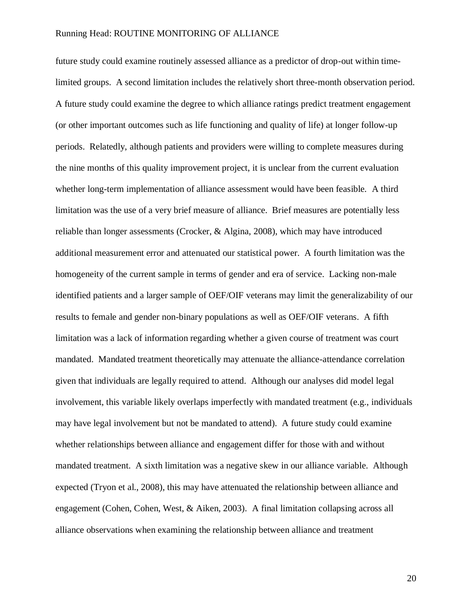future study could examine routinely assessed alliance as a predictor of drop-out within timelimited groups. A second limitation includes the relatively short three-month observation period. A future study could examine the degree to which alliance ratings predict treatment engagement (or other important outcomes such as life functioning and quality of life) at longer follow-up periods. Relatedly, although patients and providers were willing to complete measures during the nine months of this quality improvement project, it is unclear from the current evaluation whether long-term implementation of alliance assessment would have been feasible. A third limitation was the use of a very brief measure of alliance. Brief measures are potentially less reliable than longer assessments (Crocker, & Algina, 2008), which may have introduced additional measurement error and attenuated our statistical power. A fourth limitation was the homogeneity of the current sample in terms of gender and era of service. Lacking non-male identified patients and a larger sample of OEF/OIF veterans may limit the generalizability of our results to female and gender non-binary populations as well as OEF/OIF veterans. A fifth limitation was a lack of information regarding whether a given course of treatment was court mandated. Mandated treatment theoretically may attenuate the alliance-attendance correlation given that individuals are legally required to attend. Although our analyses did model legal involvement, this variable likely overlaps imperfectly with mandated treatment (e.g., individuals may have legal involvement but not be mandated to attend). A future study could examine whether relationships between alliance and engagement differ for those with and without mandated treatment. A sixth limitation was a negative skew in our alliance variable. Although expected (Tryon et al., 2008), this may have attenuated the relationship between alliance and engagement (Cohen, Cohen, West, & Aiken, 2003). A final limitation collapsing across all alliance observations when examining the relationship between alliance and treatment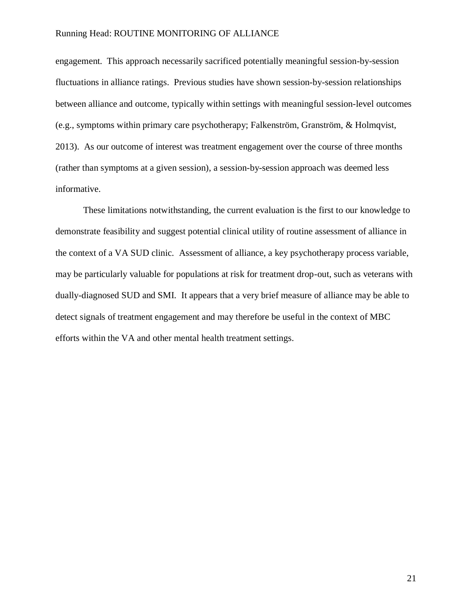engagement. This approach necessarily sacrificed potentially meaningful session-by-session fluctuations in alliance ratings. Previous studies have shown session-by-session relationships between alliance and outcome, typically within settings with meaningful session-level outcomes (e.g., symptoms within primary care psychotherapy; Falkenström, Granström, & Holmqvist, 2013). As our outcome of interest was treatment engagement over the course of three months (rather than symptoms at a given session), a session-by-session approach was deemed less informative.

These limitations notwithstanding, the current evaluation is the first to our knowledge to demonstrate feasibility and suggest potential clinical utility of routine assessment of alliance in the context of a VA SUD clinic. Assessment of alliance, a key psychotherapy process variable, may be particularly valuable for populations at risk for treatment drop-out, such as veterans with dually-diagnosed SUD and SMI. It appears that a very brief measure of alliance may be able to detect signals of treatment engagement and may therefore be useful in the context of MBC efforts within the VA and other mental health treatment settings.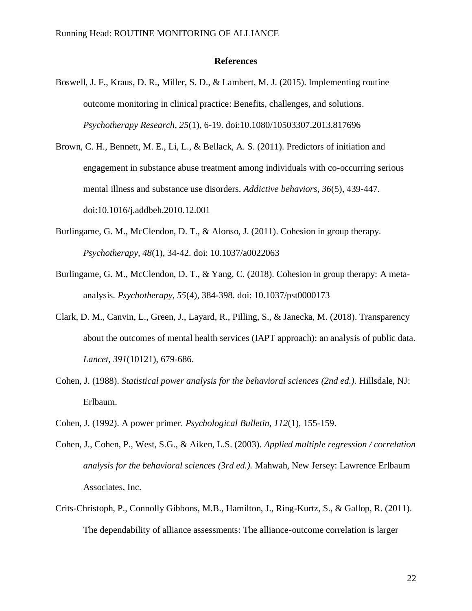#### **References**

- Boswell, J. F., Kraus, D. R., Miller, S. D., & Lambert, M. J. (2015). Implementing routine outcome monitoring in clinical practice: Benefits, challenges, and solutions. *Psychotherapy Research, 25*(1), 6-19. doi:10.1080/10503307.2013.817696
- Brown, C. H., Bennett, M. E., Li, L., & Bellack, A. S. (2011). Predictors of initiation and engagement in substance abuse treatment among individuals with co-occurring serious mental illness and substance use disorders. *Addictive behaviors, 36*(5), 439-447. doi:10.1016/j.addbeh.2010.12.001
- Burlingame, G. M., McClendon, D. T., & Alonso, J. (2011). Cohesion in group therapy. *Psychotherapy, 48*(1), 34-42. doi: 10.1037/a0022063
- Burlingame, G. M., McClendon, D. T., & Yang, C. (2018). Cohesion in group therapy: A metaanalysis. *Psychotherapy, 55*(4), 384-398. doi: 10.1037/pst0000173
- Clark, D. M., Canvin, L., Green, J., Layard, R., Pilling, S., & Janecka, M. (2018). Transparency about the outcomes of mental health services (IAPT approach): an analysis of public data. *Lancet, 391*(10121), 679-686.
- Cohen, J. (1988). *Statistical power analysis for the behavioral sciences (2nd ed.).* Hillsdale, NJ: Erlbaum.
- Cohen, J. (1992). A power primer. *Psychological Bulletin, 112*(1), 155-159.
- Cohen, J., Cohen, P., West, S.G., & Aiken, L.S. (2003). *Applied multiple regression / correlation analysis for the behavioral sciences (3rd ed.).* Mahwah, New Jersey: Lawrence Erlbaum Associates, Inc.
- Crits-Christoph, P., Connolly Gibbons, M.B., Hamilton, J., Ring-Kurtz, S., & Gallop, R. (2011). The dependability of alliance assessments: The alliance-outcome correlation is larger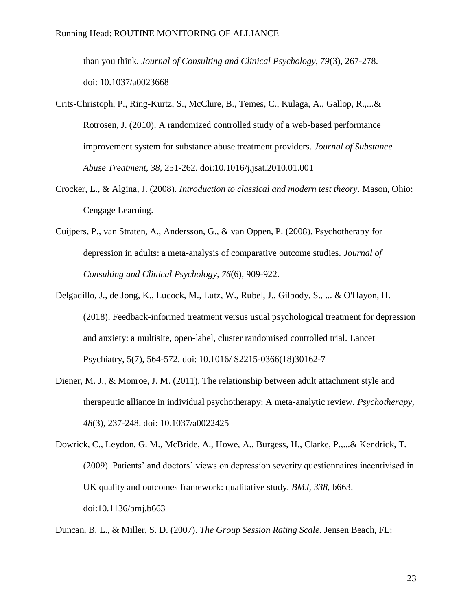than you think. *Journal of Consulting and Clinical Psychology, 79*(3), 267-278. doi: 10.1037/a0023668

- Crits-Christoph, P., Ring-Kurtz, S., McClure, B., Temes, C., Kulaga, A., Gallop, R.,...& Rotrosen, J. (2010). A randomized controlled study of a web-based performance improvement system for substance abuse treatment providers. *Journal of Substance Abuse Treatment, 38*, 251-262. doi:10.1016/j.jsat.2010.01.001
- Crocker, L., & Algina, J. (2008). *Introduction to classical and modern test theory*. Mason, Ohio: Cengage Learning.
- Cuijpers, P., van Straten, A., Andersson, G., & van Oppen, P. (2008). Psychotherapy for depression in adults: a meta-analysis of comparative outcome studies. *Journal of Consulting and Clinical Psychology, 76*(6), 909-922.
- Delgadillo, J., de Jong, K., Lucock, M., Lutz, W., Rubel, J., Gilbody, S., ... & O'Hayon, H. (2018). Feedback-informed treatment versus usual psychological treatment for depression and anxiety: a multisite, open-label, cluster randomised controlled trial. Lancet Psychiatry, 5(7), 564-572. doi: 10.1016/ S2215-0366(18)30162-7
- Diener, M. J., & Monroe, J. M. (2011). The relationship between adult attachment style and therapeutic alliance in individual psychotherapy: A meta-analytic review. *Psychotherapy, 48*(3), 237-248. doi: 10.1037/a0022425
- Dowrick, C., Leydon, G. M., McBride, A., Howe, A., Burgess, H., Clarke, P.,...& Kendrick, T. (2009). Patients' and doctors' views on depression severity questionnaires incentivised in UK quality and outcomes framework: qualitative study. *BMJ, 338*, b663. doi:10.1136/bmj.b663

Duncan, B. L., & Miller, S. D. (2007). *The Group Session Rating Scale.* Jensen Beach, FL: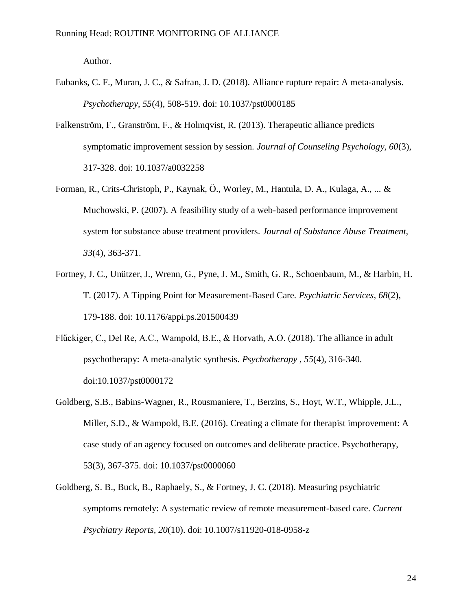Author.

- Eubanks, C. F., Muran, J. C., & Safran, J. D. (2018). Alliance rupture repair: A meta-analysis. *Psychotherapy, 55*(4), 508-519. doi: 10.1037/pst0000185
- Falkenström, F., Granström, F., & Holmqvist, R. (2013). Therapeutic alliance predicts symptomatic improvement session by session. *Journal of Counseling Psychology, 60*(3), 317-328. doi: 10.1037/a0032258
- Forman, R., Crits-Christoph, P., Kaynak, Ö., Worley, M., Hantula, D. A., Kulaga, A., ... & Muchowski, P. (2007). A feasibility study of a web-based performance improvement system for substance abuse treatment providers. *Journal of Substance Abuse Treatment, 33*(4), 363-371.
- Fortney, J. C., Unützer, J., Wrenn, G., Pyne, J. M., Smith, G. R., Schoenbaum, M., & Harbin, H. T. (2017). A Tipping Point for Measurement-Based Care. *Psychiatric Services, 68*(2), 179-188. doi: 10.1176/appi.ps.201500439
- Flűckiger, C., Del Re, A.C., Wampold, B.E., & Horvath, A.O. (2018). The alliance in adult psychotherapy: A meta-analytic synthesis. *Psychotherapy , 55*(4), 316-340. doi:10.1037/pst0000172
- Goldberg, S.B., Babins-Wagner, R., Rousmaniere, T., Berzins, S., Hoyt, W.T., Whipple, J.L., Miller, S.D., & Wampold, B.E. (2016). Creating a climate for therapist improvement: A case study of an agency focused on outcomes and deliberate practice. Psychotherapy, 53(3), 367-375. doi: 10.1037/pst0000060
- Goldberg, S. B., Buck, B., Raphaely, S., & Fortney, J. C. (2018). Measuring psychiatric symptoms remotely: A systematic review of remote measurement-based care. *Current Psychiatry Reports, 20*(10). doi: 10.1007/s11920-018-0958-z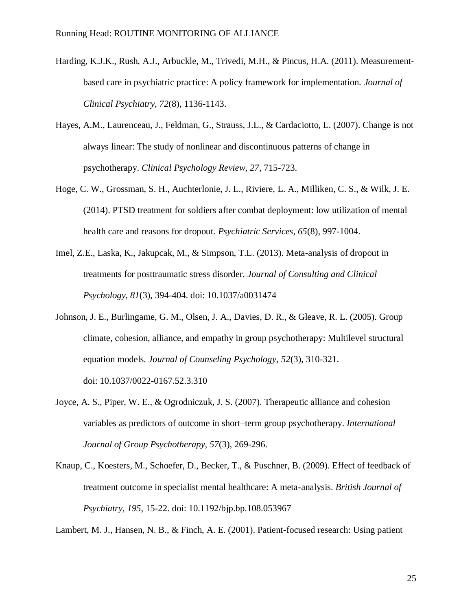- Harding, K.J.K., Rush, A.J., Arbuckle, M., Trivedi, M.H., & Pincus, H.A. (2011). Measurementbased care in psychiatric practice: A policy framework for implementation. *Journal of Clinical Psychiatry, 72*(8), 1136-1143.
- Hayes, A.M., Laurenceau, J., Feldman, G., Strauss, J.L., & Cardaciotto, L. (2007). Change is not always linear: The study of nonlinear and discontinuous patterns of change in psychotherapy. *Clinical Psychology Review, 27*, 715-723.
- Hoge, C. W., Grossman, S. H., Auchterlonie, J. L., Riviere, L. A., Milliken, C. S., & Wilk, J. E. (2014). PTSD treatment for soldiers after combat deployment: low utilization of mental health care and reasons for dropout. *Psychiatric Services, 65*(8), 997-1004.
- Imel, Z.E., Laska, K., Jakupcak, M., & Simpson, T.L. (2013). Meta-analysis of dropout in treatments for posttraumatic stress disorder. *Journal of Consulting and Clinical Psychology, 81*(3), 394-404. doi: 10.1037/a0031474
- Johnson, J. E., Burlingame, G. M., Olsen, J. A., Davies, D. R., & Gleave, R. L. (2005). Group climate, cohesion, alliance, and empathy in group psychotherapy: Multilevel structural equation models*. Journal of Counseling Psychology, 52*(3), 310-321. doi: 10.1037/0022-0167.52.3.310
- Joyce, A. S., Piper, W. E., & Ogrodniczuk, J. S. (2007). Therapeutic alliance and cohesion variables as predictors of outcome in short–term group psychotherapy. *International Journal of Group Psychotherapy, 57*(3), 269-296.
- Knaup, C., Koesters, M., Schoefer, D., Becker, T., & Puschner, B. (2009). Effect of feedback of treatment outcome in specialist mental healthcare: A meta-analysis. *British Journal of Psychiatry, 195*, 15-22. doi: 10.1192/bjp.bp.108.053967

Lambert, M. J., Hansen, N. B., & Finch, A. E. (2001). Patient-focused research: Using patient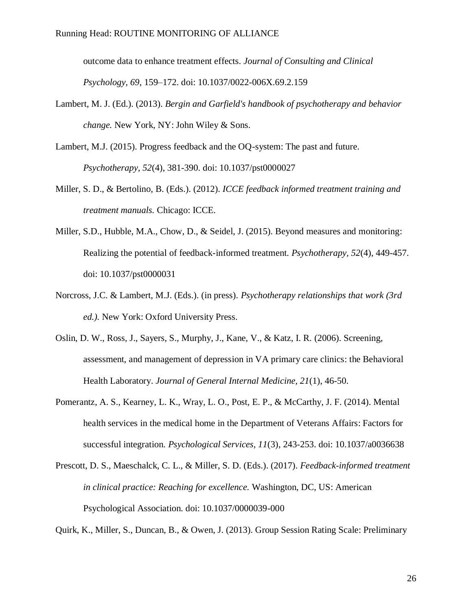outcome data to enhance treatment effects. *Journal of Consulting and Clinical Psychology, 69*, 159–172. doi: 10.1037/0022-006X.69.2.159

- Lambert, M. J. (Ed.). (2013). *Bergin and Garfield's handbook of psychotherapy and behavior change.* New York, NY: John Wiley & Sons.
- Lambert, M.J. (2015). Progress feedback and the OQ-system: The past and future. *Psychotherapy, 52*(4), 381-390. doi: 10.1037/pst0000027
- Miller, S. D., & Bertolino, B. (Eds.). (2012). *ICCE feedback informed treatment training and treatment manuals.* Chicago: ICCE.
- Miller, S.D., Hubble, M.A., Chow, D., & Seidel, J. (2015). Beyond measures and monitoring: Realizing the potential of feedback-informed treatment. *Psychotherapy, 52*(4), 449-457. doi: 10.1037/pst0000031
- Norcross, J.C. & Lambert, M.J. (Eds.). (in press). *Psychotherapy relationships that work (3rd ed.).* New York: Oxford University Press.
- Oslin, D. W., Ross, J., Sayers, S., Murphy, J., Kane, V., & Katz, I. R. (2006). Screening, assessment, and management of depression in VA primary care clinics: the Behavioral Health Laboratory. *Journal of General Internal Medicine, 21*(1), 46-50.
- Pomerantz, A. S., Kearney, L. K., Wray, L. O., Post, E. P., & McCarthy, J. F. (2014). Mental health services in the medical home in the Department of Veterans Affairs: Factors for successful integration. *Psychological Services, 11*(3), 243-253. doi: 10.1037/a0036638
- Prescott, D. S., Maeschalck, C. L., & Miller, S. D. (Eds.). (2017). *Feedback-informed treatment in clinical practice: Reaching for excellence.* Washington, DC, US: American Psychological Association. doi: 10.1037/0000039-000

Quirk, K., Miller, S., Duncan, B., & Owen, J. (2013). Group Session Rating Scale: Preliminary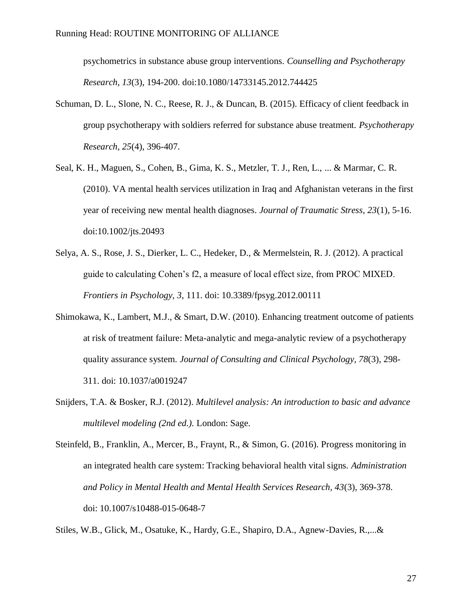psychometrics in substance abuse group interventions. *Counselling and Psychotherapy Research, 13*(3), 194-200. doi:10.1080/14733145.2012.744425

- Schuman, D. L., Slone, N. C., Reese, R. J., & Duncan, B. (2015). Efficacy of client feedback in group psychotherapy with soldiers referred for substance abuse treatment. *Psychotherapy Research, 25*(4), 396-407.
- Seal, K. H., Maguen, S., Cohen, B., Gima, K. S., Metzler, T. J., Ren, L., ... & Marmar, C. R. (2010). VA mental health services utilization in Iraq and Afghanistan veterans in the first year of receiving new mental health diagnoses. *Journal of Traumatic Stress, 23*(1), 5-16. doi:10.1002/jts.20493
- Selya, A. S., Rose, J. S., Dierker, L. C., Hedeker, D., & Mermelstein, R. J. (2012). A practical guide to calculating Cohen's f2, a measure of local effect size, from PROC MIXED. *Frontiers in Psychology, 3*, 111. doi: 10.3389/fpsyg.2012.00111
- Shimokawa, K., Lambert, M.J., & Smart, D.W. (2010). Enhancing treatment outcome of patients at risk of treatment failure: Meta-analytic and mega-analytic review of a psychotherapy quality assurance system. *Journal of Consulting and Clinical Psychology, 78*(3), 298- 311. doi: 10.1037/a0019247
- Snijders, T.A. & Bosker, R.J. (2012). *Multilevel analysis: An introduction to basic and advance multilevel modeling (2nd ed.).* London: Sage.

Stiles, W.B., Glick, M., Osatuke, K., Hardy, G.E., Shapiro, D.A., Agnew-Davies, R.,...&

Steinfeld, B., Franklin, A., Mercer, B., Fraynt, R., & Simon, G. (2016). Progress monitoring in an integrated health care system: Tracking behavioral health vital signs. *Administration and Policy in Mental Health and Mental Health Services Research, 43*(3), 369-378. doi: 10.1007/s10488-015-0648-7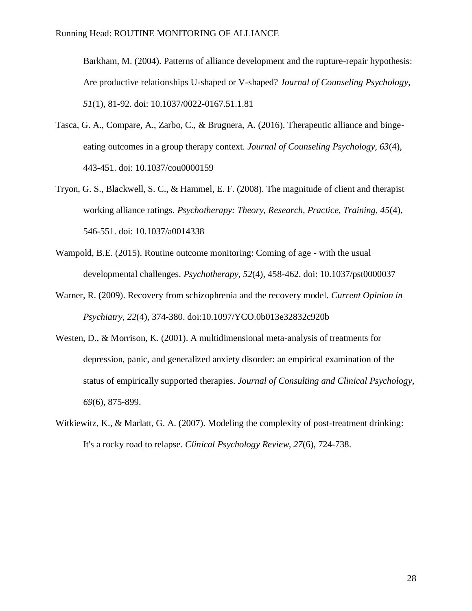Barkham, M. (2004). Patterns of alliance development and the rupture-repair hypothesis: Are productive relationships U-shaped or V-shaped? *Journal of Counseling Psychology, 51*(1), 81-92. doi: 10.1037/0022-0167.51.1.81

- Tasca, G. A., Compare, A., Zarbo, C., & Brugnera, A. (2016). Therapeutic alliance and bingeeating outcomes in a group therapy context. *Journal of Counseling Psychology, 63*(4), 443-451. doi: 10.1037/cou0000159
- Tryon, G. S., Blackwell, S. C., & Hammel, E. F. (2008). The magnitude of client and therapist working alliance ratings. *Psychotherapy: Theory, Research, Practice, Training, 45*(4), 546-551. doi: 10.1037/a0014338
- Wampold, B.E. (2015). Routine outcome monitoring: Coming of age with the usual developmental challenges. *Psychotherapy, 52*(4), 458-462. doi: 10.1037/pst0000037
- Warner, R. (2009). Recovery from schizophrenia and the recovery model. *Current Opinion in Psychiatry, 22*(4), 374-380. doi:10.1097/YCO.0b013e32832c920b
- Westen, D., & Morrison, K. (2001). A multidimensional meta-analysis of treatments for depression, panic, and generalized anxiety disorder: an empirical examination of the status of empirically supported therapies. *Journal of Consulting and Clinical Psychology, 69*(6), 875-899.
- Witkiewitz, K., & Marlatt, G. A. (2007). Modeling the complexity of post-treatment drinking: It's a rocky road to relapse. *Clinical Psychology Review, 27*(6), 724-738.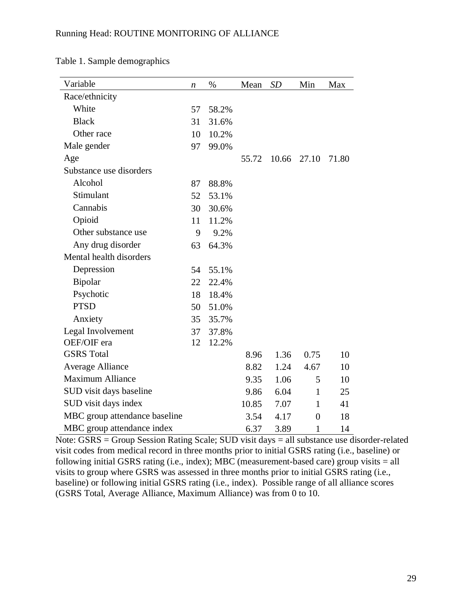| Variable                      | n  | $\%$  | Mean  | SD    | Min            | Max   |
|-------------------------------|----|-------|-------|-------|----------------|-------|
| Race/ethnicity                |    |       |       |       |                |       |
| White                         | 57 | 58.2% |       |       |                |       |
| <b>Black</b>                  | 31 | 31.6% |       |       |                |       |
| Other race                    | 10 | 10.2% |       |       |                |       |
| Male gender                   | 97 | 99.0% |       |       |                |       |
| Age                           |    |       | 55.72 | 10.66 | 27.10          | 71.80 |
| Substance use disorders       |    |       |       |       |                |       |
| Alcohol                       | 87 | 88.8% |       |       |                |       |
| Stimulant                     | 52 | 53.1% |       |       |                |       |
| Cannabis                      | 30 | 30.6% |       |       |                |       |
| Opioid                        | 11 | 11.2% |       |       |                |       |
| Other substance use           | 9  | 9.2%  |       |       |                |       |
| Any drug disorder             | 63 | 64.3% |       |       |                |       |
| Mental health disorders       |    |       |       |       |                |       |
| Depression                    | 54 | 55.1% |       |       |                |       |
| Bipolar                       | 22 | 22.4% |       |       |                |       |
| Psychotic                     | 18 | 18.4% |       |       |                |       |
| <b>PTSD</b>                   | 50 | 51.0% |       |       |                |       |
| Anxiety                       | 35 | 35.7% |       |       |                |       |
| Legal Involvement             | 37 | 37.8% |       |       |                |       |
| OEF/OIF era                   | 12 | 12.2% |       |       |                |       |
| <b>GSRS</b> Total             |    |       | 8.96  | 1.36  | 0.75           | 10    |
| <b>Average Alliance</b>       |    |       | 8.82  | 1.24  | 4.67           | 10    |
| <b>Maximum Alliance</b>       |    |       | 9.35  | 1.06  | 5              | 10    |
| SUD visit days baseline       |    |       | 9.86  | 6.04  | $\mathbf{1}$   | 25    |
| SUD visit days index          |    |       | 10.85 | 7.07  | 1              | 41    |
| MBC group attendance baseline |    |       | 3.54  | 4.17  | $\overline{0}$ | 18    |
| MBC group attendance index    |    |       | 6.37  | 3.89  | $\mathbf{1}$   | 14    |

Table 1. Sample demographics

Note: GSRS = Group Session Rating Scale; SUD visit days = all substance use disorder-related visit codes from medical record in three months prior to initial GSRS rating (i.e., baseline) or following initial GSRS rating (i.e., index); MBC (measurement-based care) group visits = all visits to group where GSRS was assessed in three months prior to initial GSRS rating (i.e., baseline) or following initial GSRS rating (i.e., index). Possible range of all alliance scores (GSRS Total, Average Alliance, Maximum Alliance) was from 0 to 10.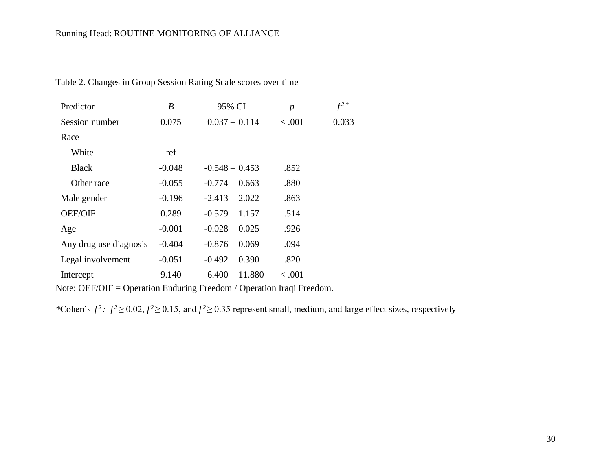| Predictor              | $\boldsymbol{B}$ | 95% CI           | $\boldsymbol{p}$ | $f^2$ * |
|------------------------|------------------|------------------|------------------|---------|
| Session number         | 0.075            | $0.037 - 0.114$  | < .001           | 0.033   |
| Race                   |                  |                  |                  |         |
| White                  | ref              |                  |                  |         |
| <b>Black</b>           | $-0.048$         | $-0.548 - 0.453$ | .852             |         |
| Other race             | $-0.055$         | $-0.774 - 0.663$ | .880             |         |
| Male gender            | $-0.196$         | $-2.413 - 2.022$ | .863             |         |
| <b>OEF/OIF</b>         | 0.289            | $-0.579 - 1.157$ | .514             |         |
| Age                    | $-0.001$         | $-0.028 - 0.025$ | .926             |         |
| Any drug use diagnosis | $-0.404$         | $-0.876 - 0.069$ | .094             |         |
| Legal involvement      | $-0.051$         | $-0.492 - 0.390$ | .820             |         |
| Intercept              | 9.140            | $6.400 - 11.880$ | < 0.001          |         |

Table 2. Changes in Group Session Rating Scale scores over time

Note: OEF/OIF = Operation Enduring Freedom / Operation Iraqi Freedom.

\*Cohen's  $f^2$ :  $f^2 \ge 0.02$ ,  $f^2 \ge 0.15$ , and  $f^2 \ge 0.35$  represent small, medium, and large effect sizes, respectively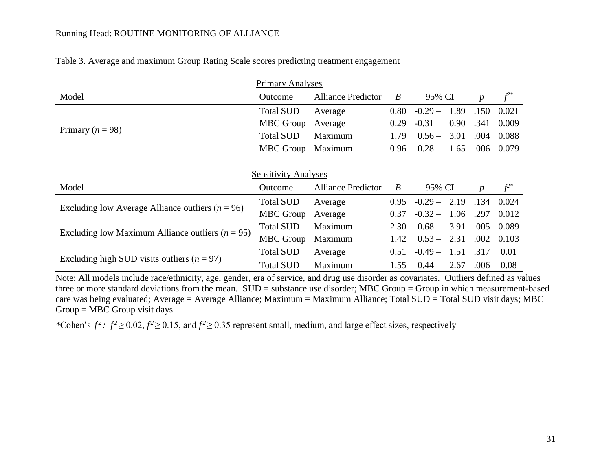|  |  | Table 3. Average and maximum Group Rating Scale scores predicting treatment engagement |
|--|--|----------------------------------------------------------------------------------------|
|  |  |                                                                                        |

|                                                      | <b>Primary Analyses</b>                                            |                           |                  |           |      |                  |            |  |  |
|------------------------------------------------------|--------------------------------------------------------------------|---------------------------|------------------|-----------|------|------------------|------------|--|--|
| Model                                                | Outcome                                                            | <b>Alliance Predictor</b> | $\boldsymbol{B}$ | 95% CI    |      | $\boldsymbol{p}$ | $f^{2*}$   |  |  |
|                                                      | <b>Total SUD</b>                                                   | Average                   | 0.80             | $-0.29-$  | 1.89 | .150             | 0.021      |  |  |
|                                                      | <b>MBC</b> Group                                                   | Average                   | 0.29             | $-0.31 -$ | 0.90 | .341             | 0.009      |  |  |
| Primary ( $n = 98$ )                                 | <b>Total SUD</b>                                                   | Maximum                   | 1.79             | $0.56 -$  | 3.01 | .004             | 0.088      |  |  |
|                                                      | <b>MBC</b> Group                                                   | Maximum                   | 0.96             | $0.28 -$  | 1.65 |                  | .006 0.079 |  |  |
|                                                      |                                                                    |                           |                  |           |      |                  |            |  |  |
| <b>Sensitivity Analyses</b>                          |                                                                    |                           |                  |           |      |                  |            |  |  |
| Model                                                | <b>Alliance Predictor</b><br>95% CI<br>$\boldsymbol{B}$<br>Outcome |                           |                  |           |      | $\boldsymbol{p}$ | $f^{2*}$   |  |  |
|                                                      |                                                                    |                           |                  |           |      |                  |            |  |  |
|                                                      | <b>Total SUD</b>                                                   | Average                   | 0.95             | $-0.29-$  | 2.19 | .134             | 0.024      |  |  |
| Excluding low Average Alliance outliers ( $n = 96$ ) | <b>MBC</b> Group                                                   | Average                   | 0.37             | $-0.32-$  | 1.06 | .297             | 0.012      |  |  |
|                                                      | <b>Total SUD</b>                                                   | Maximum                   | 2.30             | $0.68 -$  | 3.91 | .005             | 0.089      |  |  |
| Excluding low Maximum Alliance outliers ( $n = 95$ ) | <b>MBC</b> Group                                                   | Maximum                   | 1.42             | $0.53 -$  | 2.31 | .002             | 0.103      |  |  |
| Excluding high SUD visits outliers $(n = 97)$        | <b>Total SUD</b>                                                   | Average                   | 0.51             | $-0.49-$  | 1.51 | .317             | 0.01       |  |  |

Note: All models include race/ethnicity, age, gender, era of service, and drug use disorder as covariates. Outliers defined as values three or more standard deviations from the mean. SUD = substance use disorder; MBC Group = Group in which measurement-based care was being evaluated; Average = Average Alliance; Maximum = Maximum Alliance; Total SUD = Total SUD visit days; MBC Group = MBC Group visit days

\*Cohen's  $f^2$ :  $f^2 \ge 0.02$ ,  $f^2 \ge 0.15$ , and  $f^2 \ge 0.35$  represent small, medium, and large effect sizes, respectively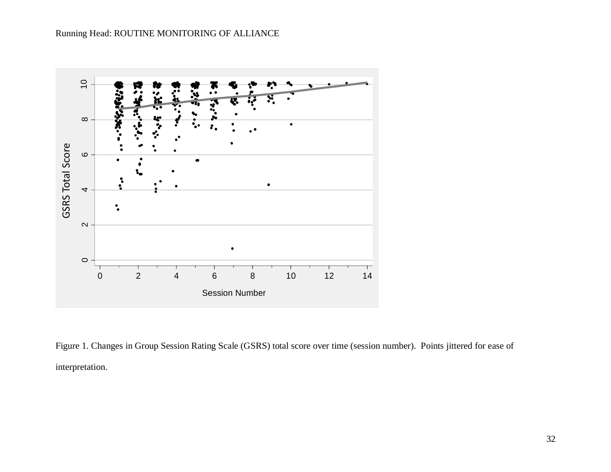

Figure 1. Changes in Group Session Rating Scale (GSRS) total score over time (session number). Points jittered for ease of interpretation.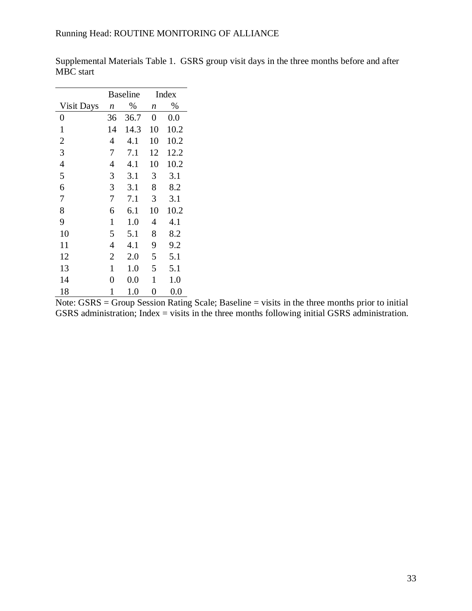|                   | <b>Baseline</b> |         |    | Index |
|-------------------|-----------------|---------|----|-------|
| <b>Visit Days</b> | n               | %       | n  | $\%$  |
| $\pmb{0}$         | 36              | 36.7    | 0  | 0.0   |
| 1                 | 14              | 14.3    | 10 | 10.2  |
| $\overline{c}$    | 4               | 4.1     | 10 | 10.2  |
| 3                 | 7               | 7.1     | 12 | 12.2  |
| $\overline{4}$    | $\overline{4}$  | 4.1     | 10 | 10.2  |
| 5                 | 3               | 3.1     | 3  | 3.1   |
| 6                 | 3               | 3.1     | 8  | 8.2   |
| 7                 | 7               | 7.1     | 3  | 3.1   |
| 8                 | 6               | 6.1     | 10 | 10.2  |
| 9                 | $\mathbf{1}$    | 1.0     | 4  | 4.1   |
| 10                | 5               | 5.1     | 8  | 8.2   |
| 11                | $\overline{4}$  | 4.1     | 9  | 9.2   |
| 12                | $\overline{2}$  | 2.0     | 5  | 5.1   |
| 13                | 1               | 1.0     | 5  | 5.1   |
| 14                | 0               | $0.0\,$ | 1  | 1.0   |
| 18                | 1               | 1.0     | 0  | 0.0   |

Supplemental Materials Table 1. GSRS group visit days in the three months before and after MBC start

Note:  $GSRS = Group Session Rating Scale; Baseline = visits in the three months prior to initial$ GSRS administration; Index = visits in the three months following initial GSRS administration.